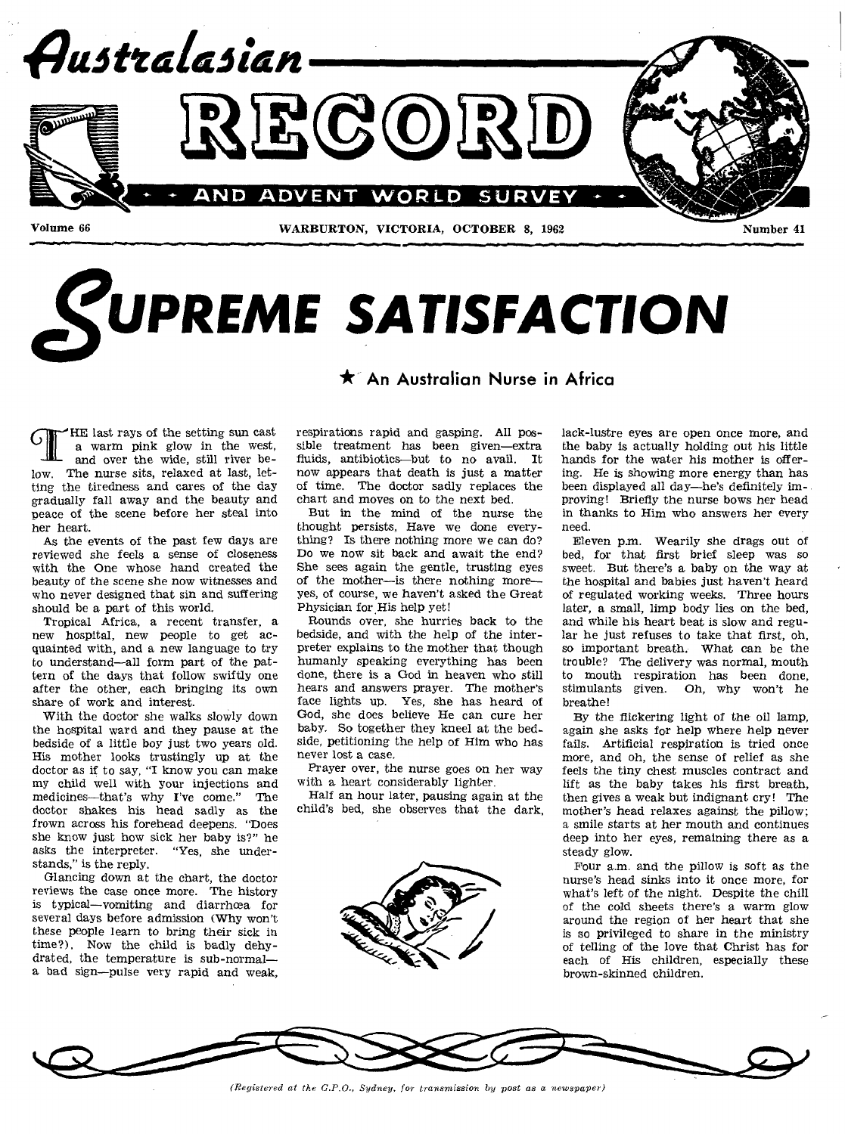

# *SUPREME SATISFACTION*

## **\* An Australian Nurse in Africa**

**CIFE** last rays of the setting sun cast a warm pink glow in the west, and over the wide, still river be-HE last rays of the setting sun cast<br>a warm pink glow in the west, low. The nurse sits, relaxed at last, letting the tiredness and cares of the day gradually fall away and the beauty and neace of the scene before her steal into her heart.

As the events of the past few days are reviewed she feels a sense of closeness with the One whose hand created the beauty of the scene she now witnesses and who never designed that sin and suffering should be a part of this world.

Tropical Africa, a recent transfer, a new hospital, new people to get acquainted with, and a new language to try to understand—all form part of the pattern of the days that follow swiftly one after the other, each bringing its own share of work and interest.

With the doctor she walks slowly down the hospital ward and they pause at the bedside of a little boy just two years old. His mother looks trustingly up at the doctor as if to say, "I know you can make my child well with your injections and medicines—that's why I've come." The doctor shakes his head sadly as the frown across his forehead deepens. "Does she know just how sick her baby is?" he asks the interpreter. "Yes, she understands," is the reply.

Glancing down at the chart, the doctor reviews the case once more. The history is typical—vomiting and diarrhoea for several days before admission (Why won't these people learn to bring their sick in time?). Now the child is badly dehydrated, the temperature is sub-normal a bad sign—pulse very rapid and weak,

respirations rapid and gasping. All possible treatment has been given—extra fluids, antibiotics—but to no avail. It now appears that death is just a matter of time. The doctor sadly replaces the chart and moves on to the next bed.

But in the mind of the nurse the thought persists, Have we done everything? Is there nothing more we can do? Do we now sit back and await the end? She sees again the gentle, trusting eyes of the mother—is there nothing more yes, of course, we haven't asked the Great Physician for His help yet!

Rounds over, she hurries back to the bedside, and with the help of the interpreter explains to the mother that though humanly speaking everything has been done, there is a God in heaven who still hears and answers prayer. The mother's face lights up. Yes, she has heard of God, she does believe He can cure her baby. So together they kneel at the bedside, petitioning the help of Him who has never lost a case.

Prayer over, the nurse goes on her way with a heart considerably lighter.

Half an hour later, pausing again at the child's bed, she observes that the dark,



lack-lustre eyes are open once more, and the baby is actually holding out his little hands for the water his mother is offering. He is showing more energy than has been displayed all day—he's definitely improving! Briefly the nurse bows her head in thanks to Him who answers her every need.

Eleven p.m. Wearily she drags out of bed, for that first brief sleep was so sweet. But there's a baby on the way at the hospital and babies just haven't heard of regulated working weeks. Three hours later, a small, limp body lies on the bed, and while his heart beat is slow and regular he just refuses to take that first, oh, so important breath. What can be the trouble? The delivery was normal, mouth to mouth respiration has been done, stimulants given. Oh, why won't he breathe!

By the flickering light of the oil lamp, again she asks for help where help never fails. Artificial respiration is tried once more, and oh, the sense of relief as she feels the tiny chest muscles contract and lift as the baby takes his first breath, then gives a weak but indignant cry! The mother's head relaxes against the pillow; a smile starts at her mouth and continues deep into her eyes, remaining there as a steady glow.

Four a.m. and the pillow is soft as the nurse's head sinks into it once more, for what's left of the night. Despite the chill of the cold sheets there's a warm glow around the region of her heart that she is so privileged to share in the ministry of telling of the love that Christ has for each of His children, especially these brown-skinned children.



*(Registered at the G.P.O., Sydney, for transmission by post as a newspaper)*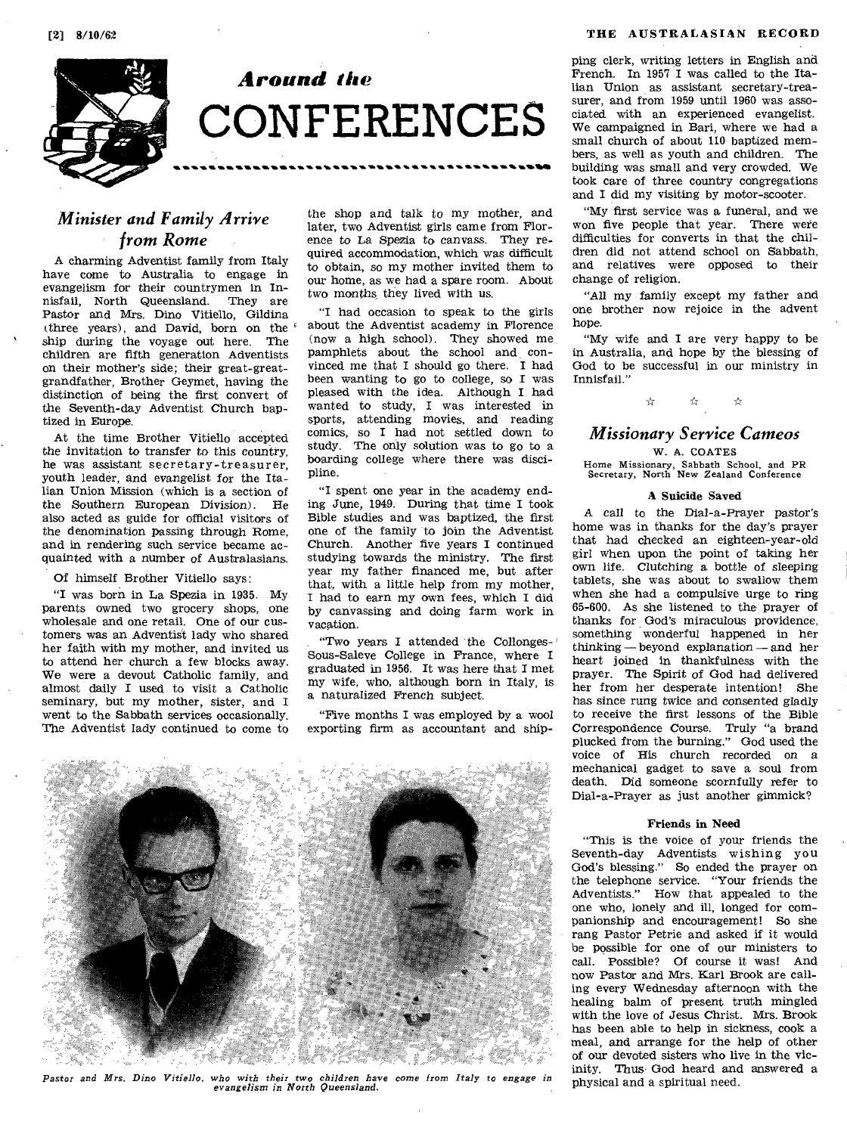

*Around the*  **CONFERENCES** 

## *Minister and Family Arrive from Rome*

A charming Adventist family from Italy have come to Australia to engage in evangelism for their countrymen in Innisfail, North Queensland. They are Pastor and Mrs. Dino Vitiello, Gildina (three years), and David, born on the ship during the voyage out here. The children are fifth generation Adventists on their mother's side; their great-greatgrandfather, Brother Geymet, having the distinction of being the first convert of the Seventh-day Adventist Church baptized in Europe.

At the time Brother Vitiello accepted the invitation to transfer to this country, he was assistant secretary-treasurer, youth leader, and evangelist for the Italian Union Mission (which is a section of the Southern European Division). He also acted as guide for official visitors of the denomination passing through Rome, and in rendering such service became acquainted with a number of Australasians.

#### Of himself Brother Vitiello says:

"I was born in La Spezia in 1935. My parents owned two grocery shops, one wholesale and one retail. One of our customers was an Adventist lady who shared her faith with my mother, and invited us to attend her church a few blocks away. We were a devout Catholic family, and almost daily I used to visit a Catholic seminary, but my mother, sister, and I went to the Sabbath services occasionally. The Adventist lady continued to come to

the shop and talk to my mother, and later, two Adventist girls came from Florence to La Spezia to canvass. They required accommodation, which was difficult to obtain, so my mother invited them to our home, as we had a spare room. About two months they lived with us.

"I had occasion to speak to the girls about the Adventist academy in Florence (now a high school). They showed me pamphlets about the school and convinced me that I should go there. I had been wanting to go to college, so I was pleased with the idea. Although I had wanted to study, I was interested in sports, attending movies, and reading comics, so **I** had not settled down to study. The only solution was to go to a boarding college where there was discipline.

"I spent one year in the academy ending June, 1949. During that time I took Bible studies and was baptized, the first one of the family to join the Adventist Church. Another five years I continued studying towards the ministry. The first year my father financed me, but after that, with a little help from my mother, I had to earn my own fees, which I did by canvassing and doing farm work in vacation.

"Two years I attended the Collonges- ' Sous-Saleve College in France, where I graduated in 1956. It was here that I met my wife, who, although born in Italy, is a naturalized French subject.

"Five months I was employed by a wool exporting firm as accountant and ship-



*Pastor and Mrs. Dino Vitiello, who with their two children have come from Italy to engage in evangelism in North Queensland.* 

ping clerk, writing letters in English and French. In 1957 I was called to the Italian Union as assistant secretary-treasurer, and from 1959 until 1960 was associated with an experienced evangelist. We campaigned in Bari, where we had a small church of about 110 baptized members, as well as youth and children. The building was small and very crowded. We took care of three country congregations and I did my visiting by motor-scooter.

"My first service was a funeral, and we won five people that year. There were difficulties for converts in that the children did not attend school on Sabbath, and relatives were opposed to their change of religion.

"All my family except my father and one brother now rejoice in the advent hope.

"My wife and I are very happy to be in Australia, and hope by the blessing of God to be successful in our ministry in Innisfail."

 $\mathcal{L}_{\mathcal{A}}$ 

## *Missionary Service Cameos*

W. A. COATES

Home Missionary, Sabbath School, and PR Secretary, North New Zealand Conference

#### **A Suicide Saved**

A call to the Dial-a-Prayer pastor's home was in thanks for the day's prayer that had checked an eighteen-year-old girl when upon the point of taking her own life. Clutching a bottle of sleeping tablets, she was about to swallow them when she had a compulsive urge to ring 65-600. As she listened to the prayer of thanks for God's miraculous providence, something wonderful happened in her thinking — beyond explanation — and her heart joined in thankfulness with the prayer. The Spirit of God had delivered her from her desperate intention! She has since rung twice and consented gladly to receive the first lessons of the Bible Correspondence Course. Truly "a brand plucked from the burning." God used the voice of His church recorded on a mechanical gadget to save a soul from death. Did someone scornfully refer to Dial-a-Prayer as just another gimmick?

#### **Friends in Need**

"This is the voice of your friends the Seventh-day Adventists wishing you God's blessing." So ended the prayer on the telephone service. "Your friends the Adventists." How that appealed to the one who, lonely and ill, longed for companionship and encouragement! So she rang Pastor Petrie and asked if it would be possible for one of our ministers to call. Possible? Of course it was! And now Pastor and Mrs. Karl Brook are calling every Wednesday afternoon with the healing balm of present truth mingled with the love of Jesus Christ. Mrs. Brook has been able to help in sickness, cook a meal, and arrange for the help of other of our devoted sisters who live in the vicinity. Thus God heard and answered a physical and a spiritual need.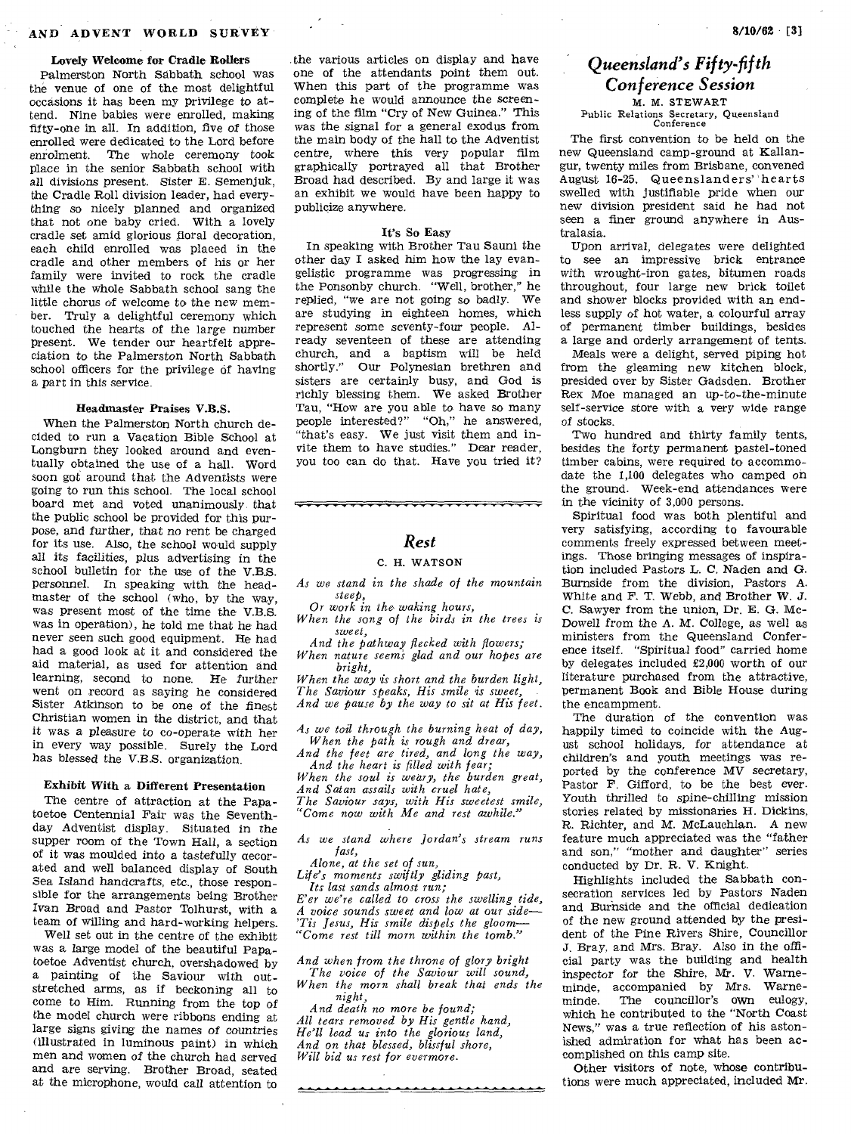#### Lovely Welcome for Cradle Rollers

Palmerston North Sabbath school was the venue of one of the most delightful occasions it has been my privilege to attend. Nine babies were enrolled, making fifty-one in all. In addition, five of those enrolled were dedicated to the Lord before enrolment. The whole ceremony took place in the senior Sabbath school with all divisions present. Sister E. Semenjuk, the Cradle Roll division leader, had everything so nicely planned and organized that not one baby cried. With a lovely cradle set amid glorious floral decoration, each child enrolled was placed in the cradle and other members of his or her family were invited to rock the cradle while the whole Sabbath school sang the little chorus of welcome to the new member. Truly a delightful ceremony which touched the hearts of the large number present. We tender our heartfelt appreciation to the Palmerston North Sabbath school officers for the privilege of having a part in this service.

#### Headmaster Praises V.B.S.

When the Palmerston North church decided to run a Vacation Bible School at Longburn they looked around and eventually obtained the use of a hall. Word soon got around that the Adventists were going to run this school. The local school board met and voted unanimously that the public school be provided for this purpose, and further, that no rent be charged for its use. Also, the school would supply all its *facilities,* plus advertising in the school bulletin for the use of the V.B.S. Personnel. In speaking with the headmaster of the school (who, by the way, was present most of the time the V.B.S. was in operation), he told me that he had never seen such good equipment. He had had a good look at it and considered the aid material, as used for attention and learning, second to none. He further went on record as saying he considered Sister Atkinson to be one *of* the finest Christian women in the district, and that it was a pleasure to co-operate with her in every way possible. Surely the Lord has blessed the V.B.S. organization.

#### Exhibit With a Different Presentation

The centre of attraction at the Papatoetoe Centennial Fair was the Seventhday Adventist display. Situated in the supper room of the Town Hall, a section of it was moulded into a tastefully aecorated and well balanced display of South Sea Island handcrafts, etc., those responsible for the arrangements being Brother Ivan Broad and Pastor Tolhurst, with a team of willing and hard-working helpers.

Well set out in the centre of the exhibit was a large model of the beautiful Papatoetoe Adventist church, overshadowed by a painting of the Saviour with outstretched arms, as if beckoning all to come to Him. Running from the top *of*  the model church were ribbons ending at large signs giving the names of countries (illustrated in luminous paint) in which men and women of the church had served and are serving. Brother Broad, seated at the microphone, would call attention to

the various articles on display and have one of the attendants paint them out. When this part of the programme was complete he would announce the screening of the film "Cry of New Guinea." This was the signal for a general exodus from the main body of the hall to the Adventist centre, where this very popular film graphically portrayed all that Brother Broad had described. By and large it was an exhibit we would have been happy to publicize anywhere.

#### It's So Easy

In speaking with Brother Tau Sauni the other day I asked him how the lay evangelistic programme was progressing *in*  the Ponsonby church. "Well, brother," he replied, "we are not going so badly. We are studying in eighteen homes, which represent same seventy-four people. Already seventeen of these are attending church, and a baptism will be held shortly." Our Polynesian brethren and sisters are certainly busy, and God is richly blessing them. We asked Brother Tau, "How are you able to have so many people interested?" "Oh," he answered, "that's easy. We just visit them and invite them to have studies." Dear reader, you too can do that. Have you tried it?

### *Rest*

\_\_\_\_\_\_\_\_\_\_\_\_\_\_\_\_\_\_\_\_\_\_\_\_\_\_\_\_\_\_\_\_\_\_

#### C. H. WATSON

*As we stand in the shade of the mountain steep,* 

*Or work in the waking hours,* 

*When the song of the birds in the trees is sweet,* 

*And the pathway flecked with flowers; When nature seem; glad and our hopes are bright,* 

*When the way is short and the burden light, The Saviour speaks, His smile 'is sweet, And we pause by the way to sit at His feet.* 

*As we toil through the burning heat of day, When the path is rough and drear,* 

*And the feet are tired, and long the way, And the heart is filled with fear;* 

*When the soul is weary, the burden great, And Satan assails with cruel hate,* 

*The Saviour says, with His sweetest smile, "Come now with Me and rest awhile."* 

*As we stand where Jordan's stream runs fast,* 

*Alone, at the set of sun,* 

*Life's moments swiftly gliding past,* 

*Its last sands almost run; E'er we're called to cross the swelling tide, A voice sounds sweet and low at our side— 'Tis Jesus, His smile dispels the gloom— "Come rest till morn within the tomb."* 

*And when from the throne of glory bright The voice of the Saviour will sound,* 

*When the morn shall break that ends the night, And death no more be found;* 

*All tears removed by His gentle hand, He'll lead us into the glorious land, And on that blessed, blissful shore, Will bid us rest for evermore.* 

## *Queensland's Fifty-fifth Conference Session*

M. M. STEWART Public Relations Secretary, Queensland Conference

The first convention to be held on the new Queensland camp-ground at Kallangur, twenty miles from Brisbane, convened August 16-25. Queenslanders' 'hearts swelled with justifiable pride when our new division president said he had not seen a finer ground anywhere in Australasia.

Upon arrival, delegates were delighted to see an impressive brick entrance with wrought-iron gates, bitumen roads throughout, four large new brick toilet and shower blocks provided with an endless supply of hot water, a colourful array of permanent timber buildings, besides a large and orderly arrangement of tents.

Meals were a delight, served piping hot from the gleaming new kitchen block, presided over by Sister Gadsden. Brother Rex Moe managed an up-to-the-minute self-service store with a very wide range of stocks.

Two hundred and thirty family tents, besides the forty permanent pastel-toned timber cabins, were required to accommodate the 1,100 delegates who camped on the ground. Week-end attendances were in the vicinity of 3,000 persons.

Spiritual food was both plentiful and very satisfying, according to favourable comments freely expressed between meetings. Those bringing messages of inspiration included Pastors L. C. Naden and G. Burnside from the division, Pastors A. White and F. T. Webb, and Brother W. J. C. Sawyer from the union, Dr. E. G. Mc-Dowell from the A. M. College, as well as ministers from the Queensland Conference itself. "Spiritual food" carried home by delegates included £2,000 worth of our literature purchased from the attractive, permanent Book and Bible House during the encampment.

The duration of the convention was happily timed to coincide with the August school holidays, for attendance at children's and youth meetings was reported by the conference MV secretary, Pastor F. Gifford, to be the best ever. Youth thrilled to spine-chilling mission stories related by missionaries H. Dickins, R. Richter, and M. McLauchlan. A new feature much appreciated was the "father and son," "mother and daughter" series conducted by Dr. R. V. Knight.

Highlights included the Sabbath consecration services led by Pastors Naden and Burnside and the official dedication of the new ground attended by the president of the Pine Rivers Shire, Councillor J. Bray, and Mrs. Bray. Also in the official party was the building and health inspector for the Shire, Mr. V. Warneminde, accompanied by Mrs. Warne-<br>minde. The councillor's own eulogy, The councillor's own eulogy, which he contributed to the "North Coast News," was a true reflection of his astonished admiration for what has been accomplished on this camp site.

Other visitors of note, whose contributions were much appreciated, included Mr.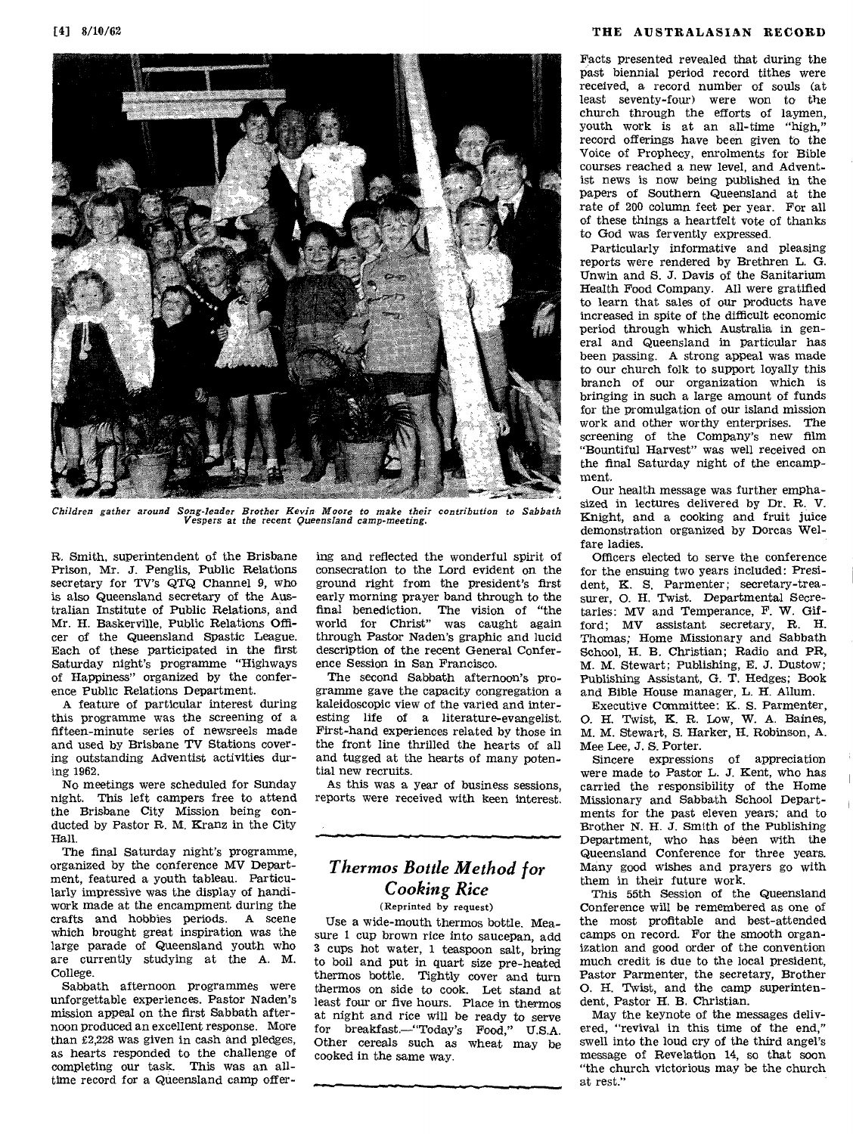

Facts presented revealed that during the past biennial period record tithes were received, a record number of souls (at least seventy-four) were won to the church through the efforts of laymen, youth work is at an all-time "high," record offerings have been given to the Voice of Prophecy, enrolments for Bible courses reached a new level, and Adventist news is now being published in the papers of Southern Queensland at the rate of 200 column feet per year. For all of these things a heartfelt vote of thanks to God was fervently expressed.

Particularly informative and pleasing reports were rendered by Brethren L. G. Unwin. and S. J. Davis of the Sanitarium Health Food Company. All were gratified to learn that sales of our products have increased in spite of the difficult economic period through which Australia in general and Queensland in particular has been passing. A strong appeal was made to our church folk to support loyally this branch of our organization which is bringing in such a large amount of funds for the promulgation of our island mission work and other worthy enterprises. The screening of the Company's new film "Bountiful Harvest" was well received on the final Saturday night of the encampment.

Our health message was further emphasized in lectures delivered by Dr. R. V. Knight, and a cooking and fruit juice demonstration organized by Dorcas Welfare ladies.

Officers elected to serve the conference for the ensuing two years included: President, K. S. Parmenter; secretary-treasurer, 0. H. Twist. Departmental Secretaries: MV and Temperance, F. W. Gifford; MV assistant secretary, R. H. Thomas; Home Missionary and Sabbath School, H. B. Christian; Radio and PR, M. M. Stewart; Publishing, E. J. Dustow; Publishing Assistant, G. T. Hedges; Book and Bible House manager, L. H. Allum.

Executive Committee: K. S. Parmenter, 0. H. Twist, K. R. Low, W. A. Baines, M. M. Stewart, S. Harker, H. Robinson, A. Mee Lee, J. S. Porter.

Sincere expressions of appreciation were made to Pastor L. J. Kent, who has carried the responsibility of the Home Missionary and Sabbath School Departments for the past eleven years; and to Brother N. H. J. Smith of the Publishing Department, who has been with the Queensland Conference for three years. Many good wishes and prayers go with them in their future work.

This 55th Session of the Queensland Conference will be remembered as one of the most profitable and best-attended camps on record. For the smooth organization and good order of the convention much credit is due to the local president, Pastor Parmenter, the secretary, Brother 0. H. Twist, and the camp superintendent, Pastor H. B. Christian.

May the keynote of the messages delivered, "revival in this time of the end," swell into the loud cry of the third angel's message of Revelation 14, so that soon "the church victorious may be the church at rest."

*Children gather around Song-leader Brother Kevin Moore to make their contribution to Sabbath Vespers at the* recent *Queensland camp-meeting.* 

R. Smith, superintendent of the Brisbane Prison, Mr. J. Penglis, Public Relations secretary for TV's QTQ Channel 9, who is also Queensland secretary of the Australian Institute of Public Relations, and Mr. H. Baskerville, Public Relations Officer of the Queensland Spastic League. Each of these participated in the first Saturday night's programme "Highways of Happiness" organized by the conference Public Relations Department.

A feature of particular interest during this programme was the screening of a fifteen-minute series of newsreels made and used by Brisbane TV Stations covering outstanding Adventist activities during 1962.

No meetings were scheduled for Sunday night. This left campers free to attend the Brisbane City Mission being conducted by Pastor R. M. Kranz in the City Hall.

The final Saturday night's programme, organized by the conference MV Department, featured a youth tableau. Particularly impressive was the display of handiwork made at the encampment during the crafts and hobbies periods. A scene which brought great inspiration was the large parade of Queensland youth who are currently studying at the A. M. College.

Sabbath afternoon programmes were unforgettable experiences. Pastor Naden's mission appeal on the first Sabbath afternoon produced an excellent response. More than £2,228 was given in cash and pledges, as hearts responded to the challenge of completing our task. This was an alltime record for a Queensland camp offering and reflected the wonderful spirit of consecration to the Lord evident on the ground right from the president's first early morning prayer band through to the final benediction. The vision of "the world for Christ" was caught again through Pastor Naden's graphic and lucid description of the recent General Conference Session in San Francisco.

The second Sabbath afternoon's programme gave the capacity congregation a kaleidoscopic view of the varied and interesting life of a literature-evangelist. First-hand experiences related by those in the front line thrilled the hearts of all and tugged at the hearts of many potential new recruits.

As this was a year of business sessions, reports were received with keen interest.

## *Thermos Bottle Method for Cooking Rice*

(Reprinted by request)

Use a wide-mouth thermos bottle. Measure 1 cup brown rice into saucepan, add 3 cups hot water, 1 teaspoon salt, bring to boil and put in quart size pre-heated thermos bottle. Tightly cover and turn thermos on side to cook. Let stand at least four or five hours. Place in thermos at night and rice will be ready to serve for breakfast.—"Today's Food," U.S.A. Other cereals such as wheat may be cooked in the same way.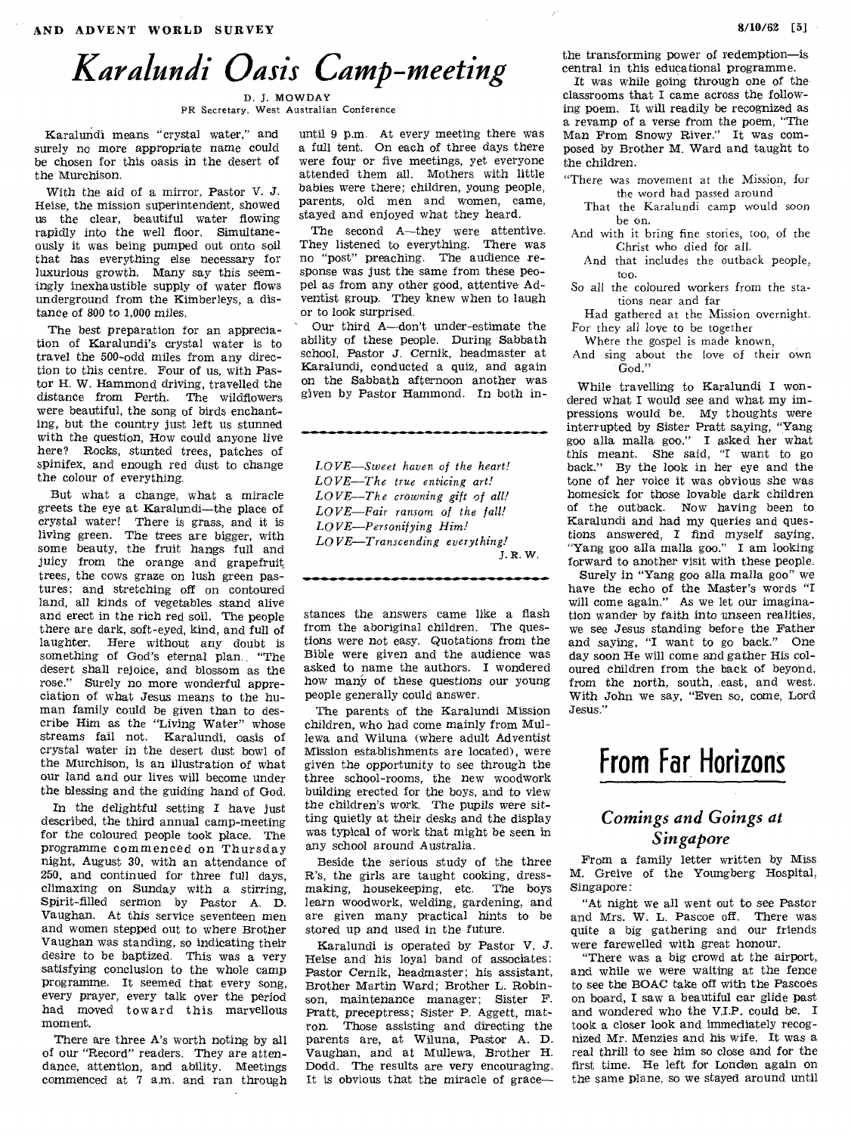D. J. MOWDAY PR Secretary, West Australian Conference

Karalundi means "crystal water," and surely no *more* appropriate name could be chosen for this oasis in the desert of the Murchison.

With the aid of a mirror, Pastor V. J. Heise, the mission superintendent, showed us the clear, beautiful water flowing rapidly into the well floor. Simultaneously it was being pumped out onto soil that has everything else necessary for luxurious growth. Many say this seemingly inexhaustible supply of water flows underground from the Kimberleys, a distance of 800 to 1,000 miles.

The best preparation for an appreciation of Karalundi's crystal water is to travel the 500-odd miles from any direction to this centre. Four of us, with Pastor H. W. Hammond driving, travelled the distance from Perth. The wildflowers were beautiful, the song of birds enchanting, but the country just left us stunned with the question, How could anyone live here? Rocks, stunted trees, patches of spinifex, and enough red dust to change the colour of everything.

But what a change, what a miracle greets the eye at Karalundi—the place of crystal water! There is grass, and it is living green. The trees are bigger, with some beauty, the fruit hangs full and juicy from the orange and grapefruit, trees, the cows graze on lush green pastures; and stretching off on contoured land, all kinds of vegetables stand alive and erect in the rich red soil. The people there are dark, soft-eyed, kind, and full of laughter. Here without any doubt is something of God's eternal plan. "The desert shall rejoice, and blossom as the rose." Surely no more wonderful appreciation of what Jesus means to the human family could be given than to describe Him as the "Living Water" whose streams fail not. Karalundi, oasis of crystal water in the desert dust bowl of the Murchison, is an illustration of what our land and our lives will become under the blessing and the guiding hand of God.

In the delightful setting I have just described, the third annual camp-meeting for the coloured people took place. The programme commenced on Thursday night, August 30, with an attendance of 250, and continued for three full days, climaxing on Sunday with a *stirring,*  Spirit-filled sermon by Pastor A. D. Vaughan. At this service seventeen men and women stepped out to where Brother Vaughan was standing, so indicating their desire to be baptized. This was a very satisfying conclusion to the whole camp programme. It seemed that every song, every prayer, every talk over the period had moved toward this marvellous moment.

There are three A's worth noting by all of our "Record" readers. They are attendance, attention, and ability. Meetings commenced at 7 a.m. and ran through

until 9 p.m. At every meeting there was a full tent. On each of three days there were four or five meetings, yet everyone attended them all. Mothers with little babies were there; children, young people, parents, old men and women, came, stayed and enjoyed what they heard.

The second A—they were attentive. They listened to everything. There was no "post" preaching. The audience response was just the same from these peopel as from any other good, attentive Adventist group. They knew when to laugh or to look surprised.

Our third A—don't under-estimate the ability of these people. During Sabbath school, Pastor *J.* Cernik, headmaster at Karalundi, conducted a quiz, and again on the Sabbath afternoon another was given by Pastor Hammond. In both in-

*LOVE—Sweet haven of the heart! LOVE—The true enticing art! LOVE—The crowning gift of all! LOVE—Fair ransom of the fall! LOVE—Personifying Him! LOVE—Transcending everything! J.* R. W.

stances the answers came like a flash from the aboriginal children. The questions were not easy. Quotations from the Bible were given and the audience was asked to name the authors. I wondered how many of these questions our young people generally could answer.

The parents of the Karalundi Mission children, who had come mainly from Mullewa and Wiluna (where adult Adventist Mission establishments are located), were given the opportunity to see through the three school-rooms, the new woodwork building erected for the boys, and to view the children's work. The pupils were sitting quietly at their desks and the display was typical of work that might be seen in any school around Australia.

Beside the serious study of the three R's, the girls are taught cooking, dressmaking, housekeeping, etc. The boys learn woodwork, welding, gardening, and are given many practical hints to be stored up and used in the future.

Karalundi is operated by Pastor V. J. Heise and his loyal band of associates; Pastor Cernik, headmaster; his assistant, Brother Martin Ward; Brother L. Robinson, maintenance manager; Sister F. Pratt, preceptress; Sister P. Aggett, matron. Those assisting and directing the parents are, at Wiluna, Pastor A. D. Vaughan, and at Mullewa, Brother H. Dodd. The results are very encouraging. It is obvious that the miracle of grace—

the transforming power of redemption—is central in this educational programme.

It was while going through one of the classrooms that I came across the following poem. It will readily be recognized as a revamp of a verse from the poem, "The Man From Snowy River." It was composed by Brother M. Ward and taught to the children.

"There was movement at the Mission, for the word had passed around

- That the Karalundi camp would soon be on.
- And with it bring fine stories, too, of the Christ who died for all.
- And that includes the outback people, too.
- So all the coloured workers from the stations near and far

Had gathered at the Mission overnight. For they all love to be together

Where the gospel is made known,

And sing about the love of their own God."

While travelling to Karalundi I wondered what I would see and what my impressions would be. My thoughts were interrupted by Sister Pratt saying, "Yang goo alla malla goo." I asked her what this meant. She said, "I want to go back." By the look in her eye and the tone of her voice it was obvious she was homesick for those lovable dark children of the outback. Now having been to Karalundi and had my queries and questions answered, I find myself saying, "Yang goo alla malla goo." I am looking forward to another visit with these people.

Surely in "Yang goo alla malla goo" we have the echo of the Master's words "I will come again." As we let our imagination wander by *faith* into unseen realities, we see Jesus standing before the Father and saying, "I want to go back." One day soon He will come and gather His coloured children from the back of beyond, from the north, south, east, and west. With John we say, "Even so, come, Lord Jesus."

## **From Far Horizons**

## *Comings and Goings at Singapore*

From a family letter written by Miss M. Greive of the Youngberg Hospital, Singapore:

"At night we all went out to see Pastor and Mrs. W. L. Pascoe off. There was quite a big gathering and our friends were farewelled with great honour.

"There was a big crowd at the airport, and while we were waiting at the fence to see the BOAC take off with the Pascoes on board, I saw a beautiful car glide past and wondered who the V.I.P. could be. I took a closer look and immediately recognized Mr. Menzies and his wife. It was a real thrill to see him so close and for the first time. He left for London again on the same plane, so we stayed around until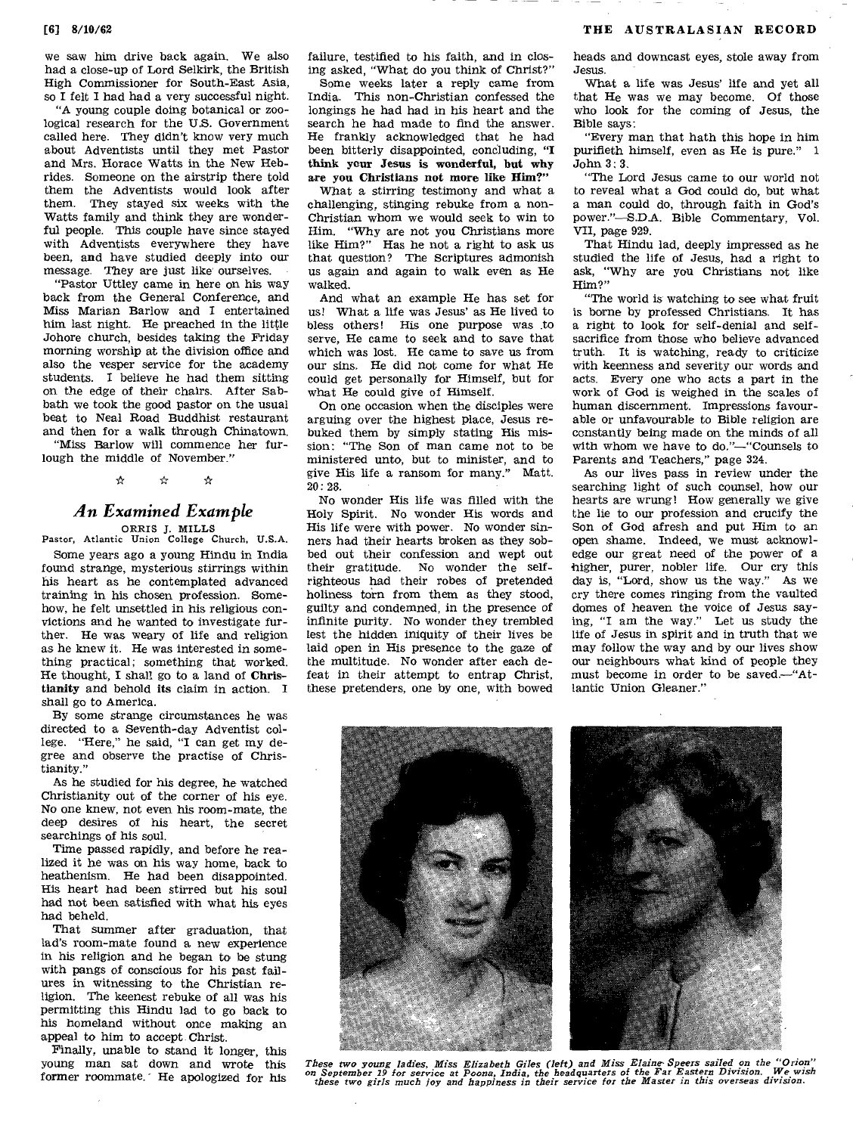we saw him drive back again. We also had a close-up of Lord Selkirk, the British High Commissioner for South-East Asia, so I felt I had had a very successful night.

"A young couple doing botanical or zoological research for the U.S. Government called here. They didn't know very much about Adventists until they met Pastor and Mrs. Horace Watts in the New Hebrides. Someone on the airstrip there told them the Adventists would look after them. They stayed six weeks with the Watts family and think they are wonderful people. This couple have since stayed with Adventists everywhere they have been, and have studied deeply into our message. They are just like' ourselves.

"Pastor Uttley came in here on his way back from the General Conference, and Miss Marian Barlow and I entertained him last night. He preached in the little Johore church, besides taking the Friday morning worship at the division office and also the vesper service for the academy students. I believe he had them sitting on the edge of their chairs. After Sabbath we took the good pastor on the usual beat to Neal Road Buddhist restaurant and then for a walk through Chinatown.

"Miss Barlow will commence her furlough the middle of November."

> لواب ≵

## *An Examined Example*

ORRIS J. MILLS Pastor, Atlantic Union College Church, U.S.A.

Some years ago a young Hindu in India found strange, mysterious stirrings within his heart as he contemplated advanced training in his chosen profession. Somehow, he felt unsettled in his religious convictions and he wanted to investigate further. He was weary of life and religion as he knew it. He was interested in something practical; something that worked. He thought, I shall go to a land of Christianity and behold its claim in action. I shall go to America.

By some strange circumstances he was directed to a Seventh-day Adventist college. "Here," he said, "I can get my degree and observe the practise of Christianity."

As he studied for his degree, he watched Christianity out of the corner of his eye. No one knew, not even his room-mate, the deep desires of his heart, the secret searchings of his soul.

Time passed rapidly, and before he realized it he was on his way home, back to heathenism. He had been disappointed. His heart had been stirred but his soul had not been satisfied with what his eyes had beheld.

That summer after graduation, that lad's room-mate found a new experience in his religion and he began to be stung with pangs of conscious for his past failures in witnessing to the Christian religion. The keenest rebuke of all was his permitting this Hindu lad to go back to his homeland without once making an appeal to him to accept Christ.

Finally, unable to stand it longer, this young man sat down and wrote this former roommate." He apologized for his failure, testified to his faith, and in closing asked, "What do you think of Christ?"

Some weeks later a reply came from India. This non-Christian confessed the longings he had had in his heart and the search he had made to find the answer. He frankly acknowledged that he had been bitterly disappointed, concluding, "I think your Jesus is wonderful, but why are you Christians not more like Him?"

What a stirring testimony and what a challenging, stinging rebuke from a non-Christian whom we would seek to win to Him. "Why are not you Christians more like Him?" Has he not a right to ask us that question? The Scriptures admonish us again and again to walk even as He walked.

And what an example He has set for us! What a life was Jesus' as He lived to bless others! His one purpose was to serve, He came to seek and to save that which was lost. He came to save us from our sins. He did not come for what He could get personally for Himself, but for what He could give of Himself.

On one occasion when the disciples were arguing over the highest place, Jesus rebuked them by simply stating His mission: "The Son of man came not to be ministered unto, but to minister, and to give His life a ransom for many." Matt. 20: 28.

No wonder His life was filled with the Holy Spirit. No wonder His words and His life were with power. No wonder sinners had their hearts broken as they sobbed out their confession and wept out their gratitude. No wonder the selfrighteous had their robes of pretended holiness torn from them as they stood, guilty and condemned, in the presence of infinite purity. No wonder they trembled lest the hidden iniquity of their lives be laid open in His presence to the gaze of the multitude. No wonder after each defeat in their attempt to entrap Christ, these pretenders, one by one, with bowed heads and downcast eyes, stole away from Jesus.

What a life was Jesus' life and yet all that He was we may become. Of those who look for the coming of Jesus, the Bible says:

"Every man that hath this hope in him purifieth himself, even as He is pure." 1 John 3: 3.

"The Lord Jesus came to our world not to reveal what a God could do, but what a man could do, through faith in God's power."—S.D.A. Bible Commentary, Val. VII, page 929.

That Hindu lad, deeply impressed as he studied the life of Jesus, had a right to ask, "Why are you Christians not like Him?"

"The world is watching to see what fruit is borne by professed Christians. It has a right to look for self-denial and selfsacrifice from those who believe advanced truth. It is watching, ready to criticize with keenness and severity our words and acts. Every one who acts a part in the work of God is weighed in the scales of human discernment. Impressions favourable or unfavourable to Bible religion are constantly being made on the minds of all with whom we have to do,"—"Counsels to Parents and Teachers," page 324.

As our lives pass in review under the searching light of such counsel, how our hearts are wrung! How generally we give the lie to our profession and crucify the Son of God afresh and put Him to an open shame. Indeed, we must acknowledge our great need of the power of a higher, purer, nobler life. Our cry this day is, "Lord, show us the way." As we cry there comes ringing from the vaulted domes of heaven the voice of Jesus saying, "I am the way." Let us study the life of Jesus in spirit and in truth that we may follow the way and by our lives show our neighbours what kind of people they must become in order to be saved.—"Atlantic Union Gleaner."



These two young ladies, Miss Elizabeth Giles (left) and Miss Elaine Speers sailed on the "Orion"<br>on September 19 for service at Poona, India, the headquarters of the Far Eastern Division. We wish<br>these two girls much joy a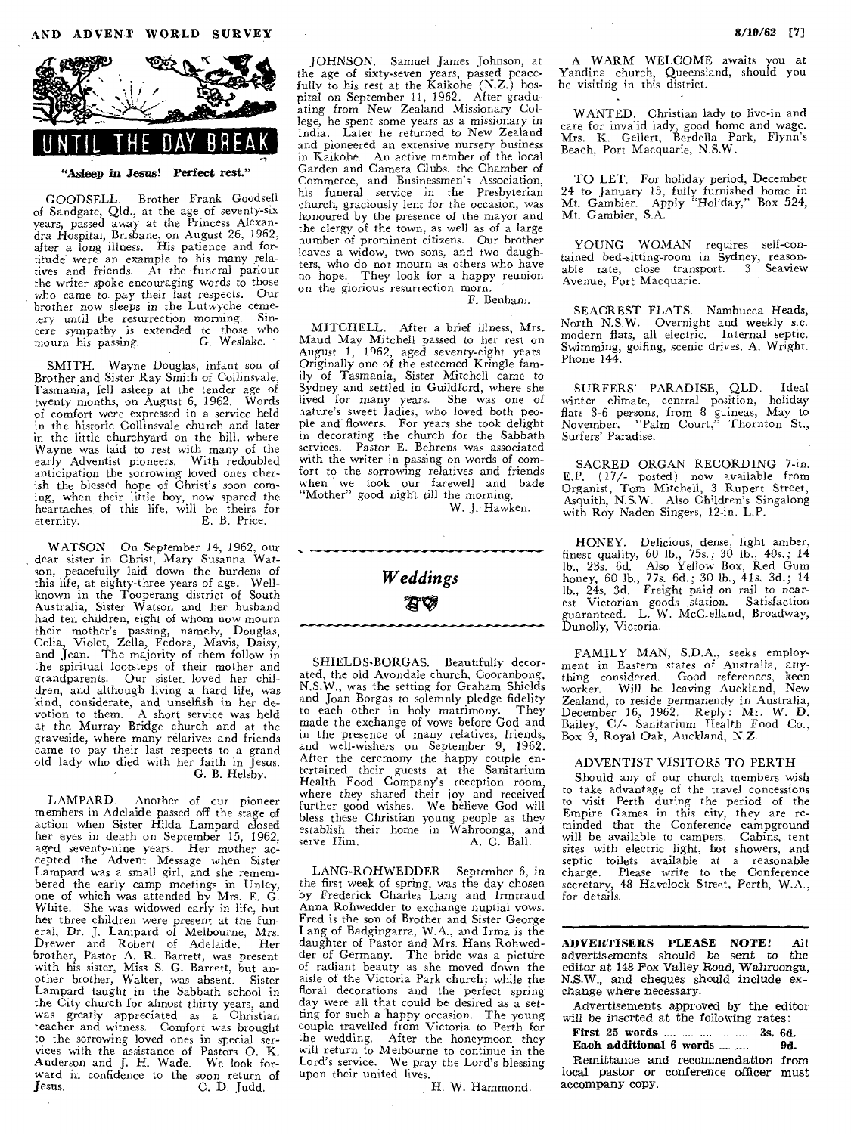

**"Asleep in** *Jesus! Perfect rest."* 

GOODSELL. Brother Frank Goodsell of Sandgate, Qld., at the age of seventy-six years, passed away at the Princess Alexandra Hospital, Brisbane, on August 26, 1962, after a long illness. His patience and fortituck were an example to his many rela-tives and friends. At the funeral parlour the writer spoke encouraging words to those who came to pay their last respects. Our brother now sleeps in the Lutwyche cemetery until the resurrection morning. Sincere sympathy is extended to those who mourn his passing. G. Weslake.

SMITH. Wayne Douglas, infant son of Brother and Sister Ray Smith of Collinsvale, Tasmania, fell asleep at the tender age of twenty months, on August 6, 1962. Words of comfort were expressed in a service held in the historic Collinsvale church and later in the little churchyard on the hill, where Wayne was laid to rest with many of the early Adventist pioneers. With redoubled anticipation the sorrowing loved ones cherish the blessed hope of Christ's soon coming, when their little boy, now spared the heartaches of this life, will be theirs for eternity. E. B. Price.

WATSON. On September 14, 1962, our dear sister in Christ, Mary Susanna Watson, peacefully laid down the burdens of this life, at eighty-three years of age. Well-known in the Tooperang district of South Australia, Sister Watson and her husband had ten children, eight of whom now mourn their mother's passing, namely, Douglas, Celia, Violet, Zella, Fedora, Mavis, Daisy, and Jean. The majority of them follow in the spiritual footsteps of their mother and grandparents. Our sister loved her children, and although living a hard life, was kind, considerate, and unselfish in her devotion to them. A short service was held at the Murray Bridge church and at the graveside, where many relatives and friends came to pay their last respects to a grand old lady who died with her faith in Jesus. G. B. Helsby.

LAMPARD. Another of our pioneer members in Adelaide passed off the stage of action when Sister Hilda Lampard closed her eyes in death on September 15, 1962, aged seventy-nine years. Her mother accepted the Advent Message when Sister Lampard was a small girl, and she remembered the early camp meetings in Unley, one of which was attended by Mrs. E. G. White. She was widowed early in life, but her three children were present at the fun-<br>eral, Dr. J. Lampard of Melbourne, Mrs.<br>Drewer and Robert of Adelaide. Her<br>brother, Pastor A. R. Barrett, was present<br>with his sister, Miss S. G. Barrett, but an-<br>other brother, Lampard taught in the Sabbath school in the City church for almost thirty years, and was greatly appreciated as a Christian teacher and witness. Comfort was brought to the sorrowing loved ones in special services with the assistance of Pastors 0. K. Anderson and J. H. Wade. We look forward in confidence to the soon return of Jesus. C. D. Judd,

JOHNSON. Samuel James Johnson, at the age of sixty-seven years, passed peacefully to his rest at the Kaikohe (N.Z.) hospital on September 11, 1962. After gradu-ating from New Zealand Missionary College, he spent some years *as* a missionary in India. Later he returned to New Zealand and pioneered an extensive nursery business in Kaikohe. An *active* member of the local Garden and Camera Clubs, the Chamber of Commerce, and Businessmen's Association, his funeral service in the Presbyterian church, graciously lent for the occasion, was honoured by the presence of the mayor and the clergy of the town, as well as of a large number of prominent citizens. Our brother leaves a widow, two sons, and two daughters, who do not mourn as others who have no hope. They look for a happy reunion on the glorious resurrection morn.

F. Benham.

MITCHELL. After a brief illness, Mrs. Maud May Mitchell passed to her rest on August 1, 1962, aged seventy-eight years. Originally one of the esteemed Kringle family of Tasmania, Sister Mitchell came to Sydney and settled in Guildford, where she lived for many years. She was one of nature's sweet ladies, who loved both people and flowers. For years she took delight in decorating the church for the Sabbath services. Pastor E. Behrens was associated with the writer in passing on words of comfort to the sorrowing relatives and friends<br>when we took our farewell and bade<br>"Mother" good night till the morning.

W. J. Hawken.



SHIELDS-BORGAS. Beautifully decorated, the old Avondale church, Cooranbong, N.S.W., was the setting for Graham Shields and Joan Borgas to solemnly pledge fidelity<br>to each other in holy matrimony. They to each other in holy matrimony. made the exchange of vows before God and in the presence of many relatives, friends, and well-wishers on September 9, 1962. After the ceremony the happy couple en-tertained their guests at the Sanitarium Health Food Company's reception room, where they shared their joy and received Further good wishes. We believe God will bless these Christian young people as they establish their home in Wahroonga, and serve Him. A. C. Ball.

LANG-ROHWEDDER. September 6, in the first week of spring, was the day chosen by Frederick Charles Lang and Irmtraud Anna Rohwedder to exchange nuptial vows. Fred is the son of Brother and Sister George Lang of Badgingarra, W.A., and Irma is the daughter of Pastor and Mrs. Hans Rohwed-der of Germany. The bride was a picture of radiant beauty as she moved down the aisle of the Victoria Park church; while the floral decorations and the perfect spring day were all that could be desired as a setting for such a happy occasion. The young couple travelled from Victoria to Perth for the wedding. After the honeymoon they will return to Melbourne to continue in the Lord's service. We pray the Lord's blessing upon their united lives.

H. W. Hammond.

A WARM WELCOME awaits you at Yandina church, Queensland, should you be visiting in this district.

WANTED. Christian lady to live-in and care for invalid lady, good home and wage. Mrs. K. Gellert, Berdella Park, Flynn's Beach. Port Macquarie, N.S.W.

TO LET. For holiday period, December 24 to January 15, fully furnished home in Mt. Gambier. Apply "Holiday," Box 524, Mt. Gambier, S.A.

YOUNG WOMAN requires self-contained bed-sitting-room in Sydney, reason-able rate, close transport. 3 Seaview Avenue, Port Macquarie.

SEACREST FLATS. Nambucca Heads, North N.S.W. Overnight and weekly s.c. modern flats, all electric. Internal septic. Swimming, golfing, scenic drives. A. Wright. Phone 144.

SURFERS' PARADISE, QLD. Ideal winter climate, central position, holiday flats 3-6 persons, from 8 guineas, May to November. "Palm Court," Thornton St., Surfers' Paradise.

SACRED ORGAN RECORDING 7-in. E.P. (17/- posted) now available from Organist, Tom Mitchell, 3 Rupert Street, Asquith, N.S.W. Also Children's Singalong with Roy Naden Singers, 12-in. L.P.

HONEY. Delicious, dense, light amber, finest quality, 60 lb., 75s.; 30 lb., 40s.; 14 lb., 23s. 6d. Also Yellow Box, Red Gum honey, 60 lb., 77s. 6d.; 30 lb., 41s. 3d.; 14 lb., 24s. 3d. Freight paid on rail to nearest Victorian goods station. Satisfaction guaranteed. L. W. McClelland, Broadway, Dunolly, Victoria.

FAMILY MAN, S.D.A., seeks employ-ment in Eastern states of Australia, anything considered. Good references, keen worker. Will be leaving Auckland, New Zealand, to reside permanently in Australia, December 16, 1962. Reply: Mr. W. D. Bailey, C/- Sanitarium Health Food Co., Box 9, Royal Oak, Auckland, N.Z.

#### ADVENTIST VISITORS TO PERTH

Should any of our church members wish to take advantage of the travel concessions to visit Perth during the period of the Empire Games in this city, they are re-minded that the Conference campground will be available to campers. Cabins, tent sites with electric light, hot showers, and septic toilets available at a reasonable charge. Please write to the Conference secretary, 48 Havelock Street, Perth, W.A., for details.

**ADVERTISERS PLEASE NOTE! All**  advertisements should be sent to the editor at 148 Fox Valley Road, Wahroonga, N.S.W., and cheques should include exchange where necessary.

Advertisements approved by the editor will be inserted at the following rates:

**First 25 words 35. 00. First 25 words 3s. 6d. Each additional 6 words** 35. **9d. Each additional 6 words** .... ....

Remittance and recommendation from local pastor or conference **officer** must accompany copy.